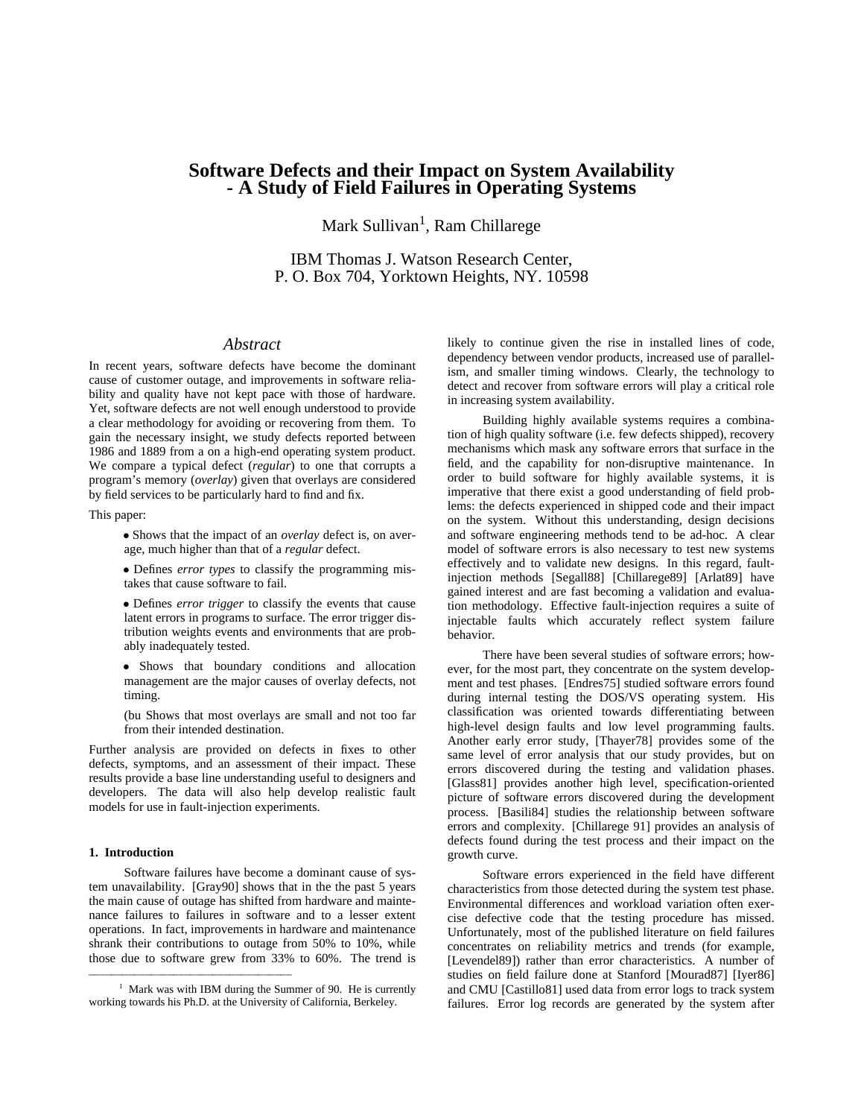# **Software Defects and their Impact on System Availability - A Study of Field Failures in Operating Systems**

Mark Sullivan<sup>1</sup>, Ram Chillarege

IBM Thomas J. Watson Research Center, P. O. Box 704, Yorktown Heights, NY. 10598

# *Abstract*

In recent years, software defects have become the dominant cause of customer outage, and improvements in software reliability and quality have not kept pace with those of hardware. Yet, software defects are not well enough understood to provide a clear methodology for avoiding or recovering from them. To gain the necessary insight, we study defects reported between 1986 and 1889 from a on a high-end operating system product. We compare a typical defect (*regular*) to one that corrupts a program's memory (*overlay*) given that overlays are considered by field services to be particularly hard to find and fix.

This paper:

• Shows that the impact of an *overlay* defect is, on average, much higher than that of a *regular* defect.

• Defines *error types* to classify the programming mistakes that cause software to fail.

• Defines *error trigger* to classify the events that cause latent errors in programs to surface. The error trigger distribution weights events and environments that are probably inadequately tested.

g Shows that boundary conditions and allocation management are the major causes of overlay defects, not timing.

(bu Shows that most overlays are small and not too far from their intended destination.

Further analysis are provided on defects in fixes to other defects, symptoms, and an assessment of their impact. These results provide a base line understanding useful to designers and developers. The data will also help develop realistic fault models for use in fault-injection experiments.

#### **1. Introduction**

Software failures have become a dominant cause of system unavailability. [Gray90] shows that in the the past 5 years the main cause of outage has shifted from hardware and maintenance failures to failures in software and to a lesser extent operations. In fact, improvements in hardware and maintenance shrank their contributions to outage from 50% to 10%, while those due to software grew from 33% to 60%. The trend is

hhhhhhhhhhhhhhhhhhhhhhhhhhhhhhhhhhhh

likely to continue given the rise in installed lines of code, dependency between vendor products, increased use of parallelism, and smaller timing windows. Clearly, the technology to detect and recover from software errors will play a critical role in increasing system availability.

Building highly available systems requires a combination of high quality software (i.e. few defects shipped), recovery mechanisms which mask any software errors that surface in the field, and the capability for non-disruptive maintenance. In order to build software for highly available systems, it is imperative that there exist a good understanding of field problems: the defects experienced in shipped code and their impact on the system. Without this understanding, design decisions and software engineering methods tend to be ad-hoc. A clear model of software errors is also necessary to test new systems effectively and to validate new designs. In this regard, faultinjection methods [Segall88] [Chillarege89] [Arlat89] have gained interest and are fast becoming a validation and evaluation methodology. Effective fault-injection requires a suite of injectable faults which accurately reflect system failure behavior.

There have been several studies of software errors; however, for the most part, they concentrate on the system development and test phases. [Endres75] studied software errors found during internal testing the DOS/VS operating system. His classification was oriented towards differentiating between high-level design faults and low level programming faults. Another early error study, [Thayer78] provides some of the same level of error analysis that our study provides, but on errors discovered during the testing and validation phases. [Glass81] provides another high level, specification-oriented picture of software errors discovered during the development process. [Basili84] studies the relationship between software errors and complexity. [Chillarege 91] provides an analysis of defects found during the test process and their impact on the growth curve.

Software errors experienced in the field have different characteristics from those detected during the system test phase. Environmental differences and workload variation often exercise defective code that the testing procedure has missed. Unfortunately, most of the published literature on field failures concentrates on reliability metrics and trends (for example, [Levendel89]) rather than error characteristics. A number of studies on field failure done at Stanford [Mourad87] [Iyer86] and CMU [Castillo81] used data from error logs to track system failures. Error log records are generated by the system after

<sup>&</sup>lt;sup>1</sup> Mark was with IBM during the Summer of 90. He is currently working towards his Ph.D. at the University of California, Berkeley.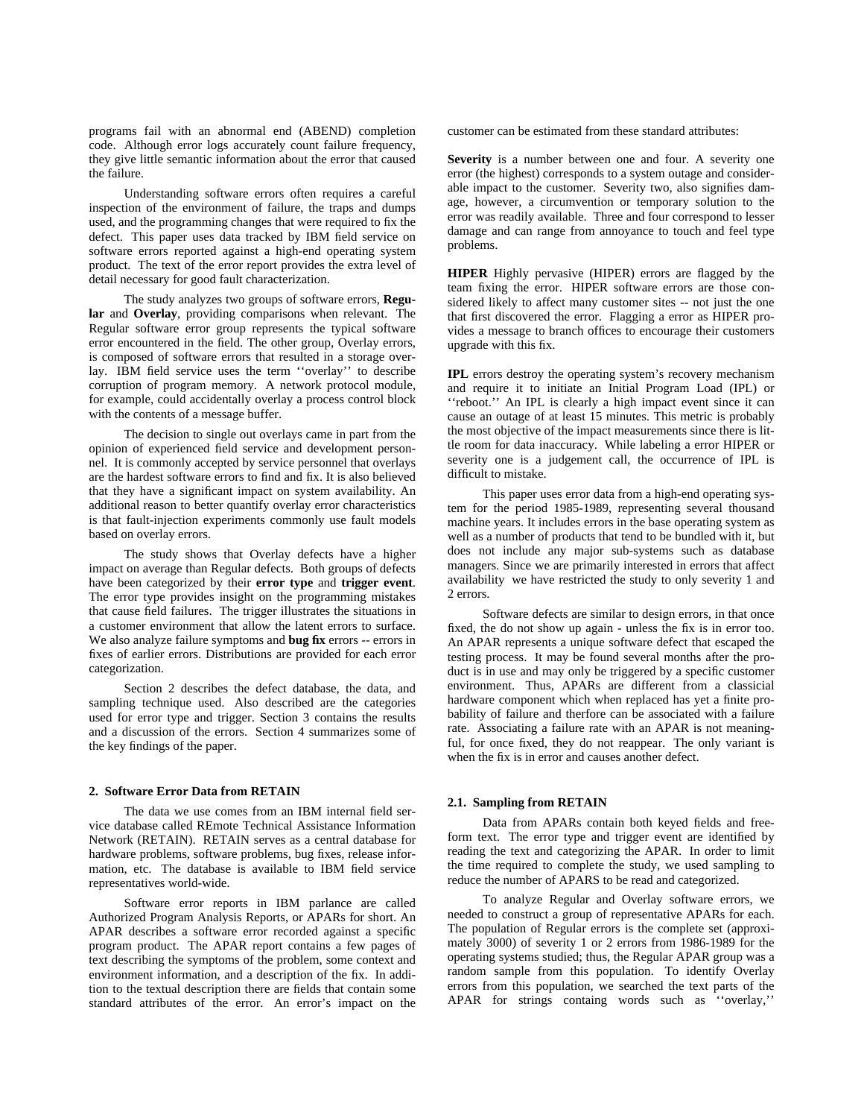programs fail with an abnormal end (ABEND) completion code. Although error logs accurately count failure frequency, they give little semantic information about the error that caused the failure.

Understanding software errors often requires a careful inspection of the environment of failure, the traps and dumps used, and the programming changes that were required to fix the defect. This paper uses data tracked by IBM field service on software errors reported against a high-end operating system product. The text of the error report provides the extra level of detail necessary for good fault characterization.

The study analyzes two groups of software errors, **Regular** and **Overlay**, providing comparisons when relevant. The Regular software error group represents the typical software error encountered in the field. The other group, Overlay errors, is composed of software errors that resulted in a storage overlay. IBM field service uses the term ''overlay'' to describe corruption of program memory. A network protocol module, for example, could accidentally overlay a process control block with the contents of a message buffer.

The decision to single out overlays came in part from the opinion of experienced field service and development personnel. It is commonly accepted by service personnel that overlays are the hardest software errors to find and fix. It is also believed that they have a significant impact on system availability. An additional reason to better quantify overlay error characteristics is that fault-injection experiments commonly use fault models based on overlay errors.

The study shows that Overlay defects have a higher impact on average than Regular defects. Both groups of defects have been categorized by their **error type** and **trigger event**. The error type provides insight on the programming mistakes that cause field failures. The trigger illustrates the situations in a customer environment that allow the latent errors to surface. We also analyze failure symptoms and **bug fix** errors -- errors in fixes of earlier errors. Distributions are provided for each error categorization.

Section 2 describes the defect database, the data, and sampling technique used. Also described are the categories used for error type and trigger. Section 3 contains the results and a discussion of the errors. Section 4 summarizes some of the key findings of the paper.

## **2. Software Error Data from RETAIN**

The data we use comes from an IBM internal field service database called REmote Technical Assistance Information Network (RETAIN). RETAIN serves as a central database for hardware problems, software problems, bug fixes, release information, etc. The database is available to IBM field service representatives world-wide.

Software error reports in IBM parlance are called Authorized Program Analysis Reports, or APARs for short. An APAR describes a software error recorded against a specific program product. The APAR report contains a few pages of text describing the symptoms of the problem, some context and environment information, and a description of the fix. In addition to the textual description there are fields that contain some standard attributes of the error. An error's impact on the

customer can be estimated from these standard attributes:

**Severity** is a number between one and four. A severity one error (the highest) corresponds to a system outage and considerable impact to the customer. Severity two, also signifies damage, however, a circumvention or temporary solution to the error was readily available. Three and four correspond to lesser damage and can range from annoyance to touch and feel type problems.

**HIPER** Highly pervasive (HIPER) errors are flagged by the team fixing the error. HIPER software errors are those considered likely to affect many customer sites -- not just the one that first discovered the error. Flagging a error as HIPER provides a message to branch offices to encourage their customers upgrade with this fix.

**IPL** errors destroy the operating system's recovery mechanism and require it to initiate an Initial Program Load (IPL) or ''reboot.'' An IPL is clearly a high impact event since it can cause an outage of at least 15 minutes. This metric is probably the most objective of the impact measurements since there is little room for data inaccuracy. While labeling a error HIPER or severity one is a judgement call, the occurrence of IPL is difficult to mistake.

This paper uses error data from a high-end operating system for the period 1985-1989, representing several thousand machine years. It includes errors in the base operating system as well as a number of products that tend to be bundled with it, but does not include any major sub-systems such as database managers. Since we are primarily interested in errors that affect availability we have restricted the study to only severity 1 and 2 errors.

Software defects are similar to design errors, in that once fixed, the do not show up again - unless the fix is in error too. An APAR represents a unique software defect that escaped the testing process. It may be found several months after the product is in use and may only be triggered by a specific customer environment. Thus, APARs are different from a classicial hardware component which when replaced has yet a finite probability of failure and therfore can be associated with a failure rate. Associating a failure rate with an APAR is not meaningful, for once fixed, they do not reappear. The only variant is when the fix is in error and causes another defect.

#### **2.1. Sampling from RETAIN**

Data from APARs contain both keyed fields and freeform text. The error type and trigger event are identified by reading the text and categorizing the APAR. In order to limit the time required to complete the study, we used sampling to reduce the number of APARS to be read and categorized.

To analyze Regular and Overlay software errors, we needed to construct a group of representative APARs for each. The population of Regular errors is the complete set (approximately 3000) of severity 1 or 2 errors from 1986-1989 for the operating systems studied; thus, the Regular APAR group was a random sample from this population. To identify Overlay errors from this population, we searched the text parts of the APAR for strings containg words such as ''overlay,''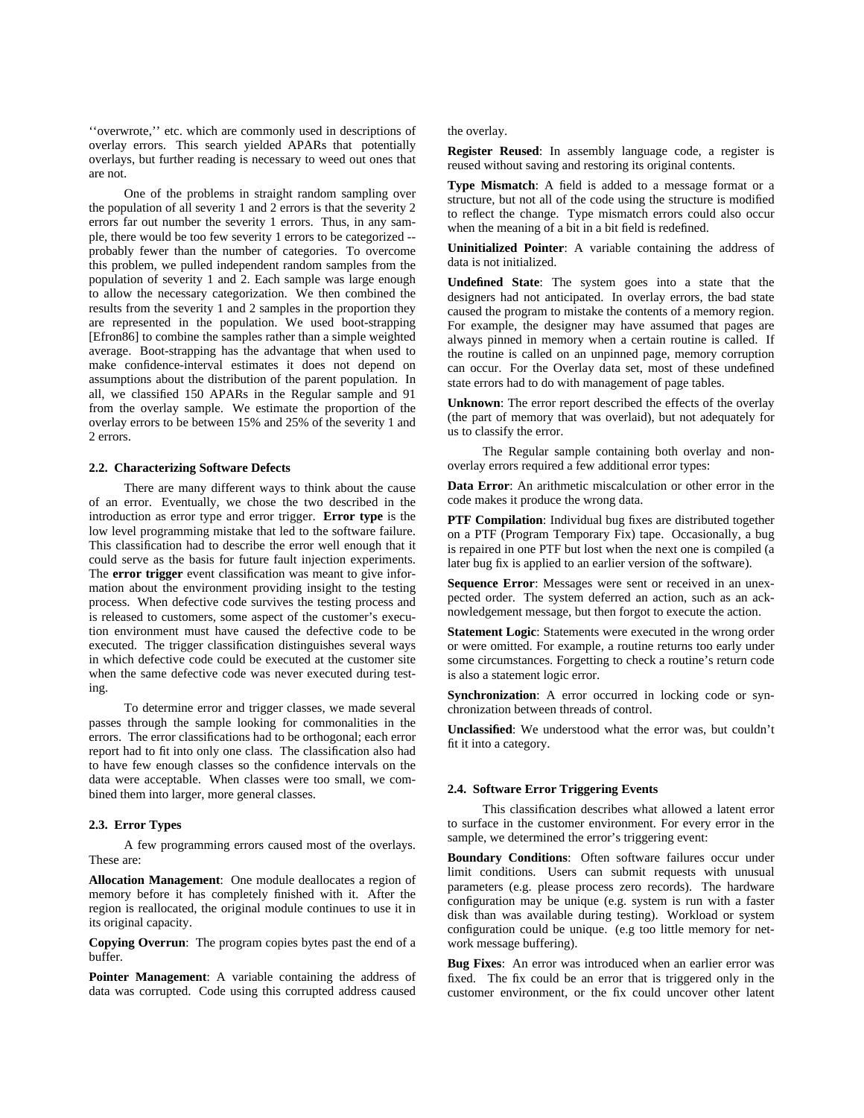''overwrote,'' etc. which are commonly used in descriptions of overlay errors. This search yielded APARs that potentially overlays, but further reading is necessary to weed out ones that are not.

One of the problems in straight random sampling over the population of all severity 1 and 2 errors is that the severity 2 errors far out number the severity 1 errors. Thus, in any sample, there would be too few severity 1 errors to be categorized - probably fewer than the number of categories. To overcome this problem, we pulled independent random samples from the population of severity 1 and 2. Each sample was large enough to allow the necessary categorization. We then combined the results from the severity 1 and 2 samples in the proportion they are represented in the population. We used boot-strapping [Efron86] to combine the samples rather than a simple weighted average. Boot-strapping has the advantage that when used to make confidence-interval estimates it does not depend on assumptions about the distribution of the parent population. In all, we classified 150 APARs in the Regular sample and 91 from the overlay sample. We estimate the proportion of the overlay errors to be between 15% and 25% of the severity 1 and 2 errors.

#### **2.2. Characterizing Software Defects**

There are many different ways to think about the cause of an error. Eventually, we chose the two described in the introduction as error type and error trigger. **Error type** is the low level programming mistake that led to the software failure. This classification had to describe the error well enough that it could serve as the basis for future fault injection experiments. The **error trigger** event classification was meant to give information about the environment providing insight to the testing process. When defective code survives the testing process and is released to customers, some aspect of the customer's execution environment must have caused the defective code to be executed. The trigger classification distinguishes several ways in which defective code could be executed at the customer site when the same defective code was never executed during testing.

To determine error and trigger classes, we made several passes through the sample looking for commonalities in the errors. The error classifications had to be orthogonal; each error report had to fit into only one class. The classification also had to have few enough classes so the confidence intervals on the data were acceptable. When classes were too small, we combined them into larger, more general classes.

#### **2.3. Error Types**

A few programming errors caused most of the overlays. These are:

**Allocation Management**: One module deallocates a region of memory before it has completely finished with it. After the region is reallocated, the original module continues to use it in its original capacity.

**Copying Overrun**: The program copies bytes past the end of a buffer.

**Pointer Management**: A variable containing the address of data was corrupted. Code using this corrupted address caused

the overlay.

**Register Reused**: In assembly language code, a register is reused without saving and restoring its original contents.

**Type Mismatch**: A field is added to a message format or a structure, but not all of the code using the structure is modified to reflect the change. Type mismatch errors could also occur when the meaning of a bit in a bit field is redefined.

**Uninitialized Pointer**: A variable containing the address of data is not initialized.

**Undefined State**: The system goes into a state that the designers had not anticipated. In overlay errors, the bad state caused the program to mistake the contents of a memory region. For example, the designer may have assumed that pages are always pinned in memory when a certain routine is called. If the routine is called on an unpinned page, memory corruption can occur. For the Overlay data set, most of these undefined state errors had to do with management of page tables.

**Unknown**: The error report described the effects of the overlay (the part of memory that was overlaid), but not adequately for us to classify the error.

The Regular sample containing both overlay and nonoverlay errors required a few additional error types:

**Data Error**: An arithmetic miscalculation or other error in the code makes it produce the wrong data.

**PTF Compilation**: Individual bug fixes are distributed together on a PTF (Program Temporary Fix) tape. Occasionally, a bug is repaired in one PTF but lost when the next one is compiled (a later bug fix is applied to an earlier version of the software).

**Sequence Error**: Messages were sent or received in an unexpected order. The system deferred an action, such as an acknowledgement message, but then forgot to execute the action.

**Statement Logic:** Statements were executed in the wrong order or were omitted. For example, a routine returns too early under some circumstances. Forgetting to check a routine's return code is also a statement logic error.

**Synchronization**: A error occurred in locking code or synchronization between threads of control.

**Unclassified**: We understood what the error was, but couldn't fit it into a category.

#### **2.4. Software Error Triggering Events**

This classification describes what allowed a latent error to surface in the customer environment. For every error in the sample, we determined the error's triggering event:

**Boundary Conditions**: Often software failures occur under limit conditions. Users can submit requests with unusual parameters (e.g. please process zero records). The hardware configuration may be unique (e.g. system is run with a faster disk than was available during testing). Workload or system configuration could be unique. (e.g too little memory for network message buffering).

**Bug Fixes**: An error was introduced when an earlier error was fixed. The fix could be an error that is triggered only in the customer environment, or the fix could uncover other latent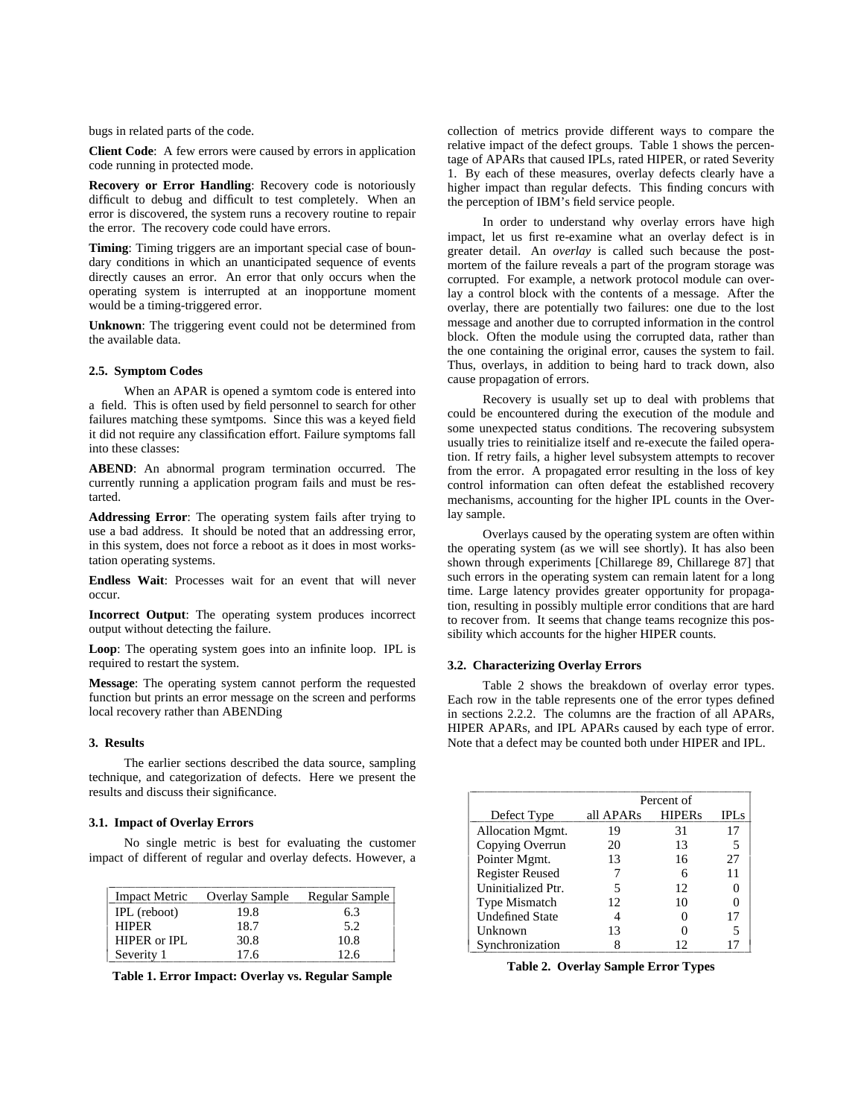bugs in related parts of the code.

**Client Code**: A few errors were caused by errors in application code running in protected mode.

**Recovery or Error Handling**: Recovery code is notoriously difficult to debug and difficult to test completely. When an error is discovered, the system runs a recovery routine to repair the error. The recovery code could have errors.

**Timing**: Timing triggers are an important special case of boundary conditions in which an unanticipated sequence of events directly causes an error. An error that only occurs when the operating system is interrupted at an inopportune moment would be a timing-triggered error.

**Unknown**: The triggering event could not be determined from the available data.

# **2.5. Symptom Codes**

When an APAR is opened a symtom code is entered into a field. This is often used by field personnel to search for other failures matching these symtpoms. Since this was a keyed field it did not require any classification effort. Failure symptoms fall into these classes:

**ABEND**: An abnormal program termination occurred. The currently running a application program fails and must be restarted.

**Addressing Error**: The operating system fails after trying to use a bad address. It should be noted that an addressing error, in this system, does not force a reboot as it does in most workstation operating systems.

**Endless Wait**: Processes wait for an event that will never occur.

**Incorrect Output**: The operating system produces incorrect output without detecting the failure.

**Loop**: The operating system goes into an infinite loop. IPL is required to restart the system.

**Message**: The operating system cannot perform the requested function but prints an error message on the screen and performs local recovery rather than ABENDing

# **3. Results**

The earlier sections described the data source, sampling technique, and categorization of defects. Here we present the results and discuss their significance.

#### **3.1. Impact of Overlay Errors**

No single metric is best for evaluating the customer impact of different of regular and overlay defects. However, a

| <b>Impact Metric</b> | Overlay Sample | Regular Sample |
|----------------------|----------------|----------------|
| IPL (reboot)         | 19.8           | 6.3            |
| <b>HIPER</b>         | 18.7           | 5.2            |
| $HIPER$ or $IPL$     | 30.8           | 10.8           |
| Severity 1           | 17 6           | 12.6           |

**Table 1. Error Impact: Overlay vs. Regular Sample**

l l

İ

collection of metrics provide different ways to compare the relative impact of the defect groups. Table 1 shows the percentage of APARs that caused IPLs, rated HIPER, or rated Severity 1. By each of these measures, overlay defects clearly have a higher impact than regular defects. This finding concurs with the perception of IBM's field service people.

In order to understand why overlay errors have high impact, let us first re-examine what an overlay defect is in greater detail. An *overlay* is called such because the postmortem of the failure reveals a part of the program storage was corrupted. For example, a network protocol module can overlay a control block with the contents of a message. After the overlay, there are potentially two failures: one due to the lost message and another due to corrupted information in the control block. Often the module using the corrupted data, rather than the one containing the original error, causes the system to fail. Thus, overlays, in addition to being hard to track down, also cause propagation of errors.

Recovery is usually set up to deal with problems that could be encountered during the execution of the module and some unexpected status conditions. The recovering subsystem usually tries to reinitialize itself and re-execute the failed operation. If retry fails, a higher level subsystem attempts to recover from the error. A propagated error resulting in the loss of key control information can often defeat the established recovery mechanisms, accounting for the higher IPL counts in the Overlay sample.

Overlays caused by the operating system are often within the operating system (as we will see shortly). It has also been shown through experiments [Chillarege 89, Chillarege 87] that such errors in the operating system can remain latent for a long time. Large latency provides greater opportunity for propagation, resulting in possibly multiple error conditions that are hard to recover from. It seems that change teams recognize this possibility which accounts for the higher HIPER counts.

#### **3.2. Characterizing Overlay Errors**

Table 2 shows the breakdown of overlay error types. Each row in the table represents one of the error types defined in sections 2.2.2. The columns are the fraction of all APARs, HIPER APARs, and IPL APARs caused by each type of error. Note that a defect may be counted both under HIPER and IPL.

|                        | Percent of |               |             |
|------------------------|------------|---------------|-------------|
| Defect Type            | all APARs  | <b>HIPERs</b> | <b>IPLs</b> |
| Allocation Mgmt.       | 19         | 31            | 17          |
| Copying Overrun        | 20         | 13            | 5           |
| Pointer Mgmt.          | 13         | 16            | 27          |
| <b>Register Reused</b> |            | 6             | 11          |
| Uninitialized Ptr.     | 5          | 12            |             |
| <b>Type Mismatch</b>   | 12.        | 10            |             |
| <b>Undefined State</b> |            |               | 17          |
| Unknown                | 13         |               |             |
| Synchronization        |            | 12            |             |

**Table 2. Overlay Sample Error Types**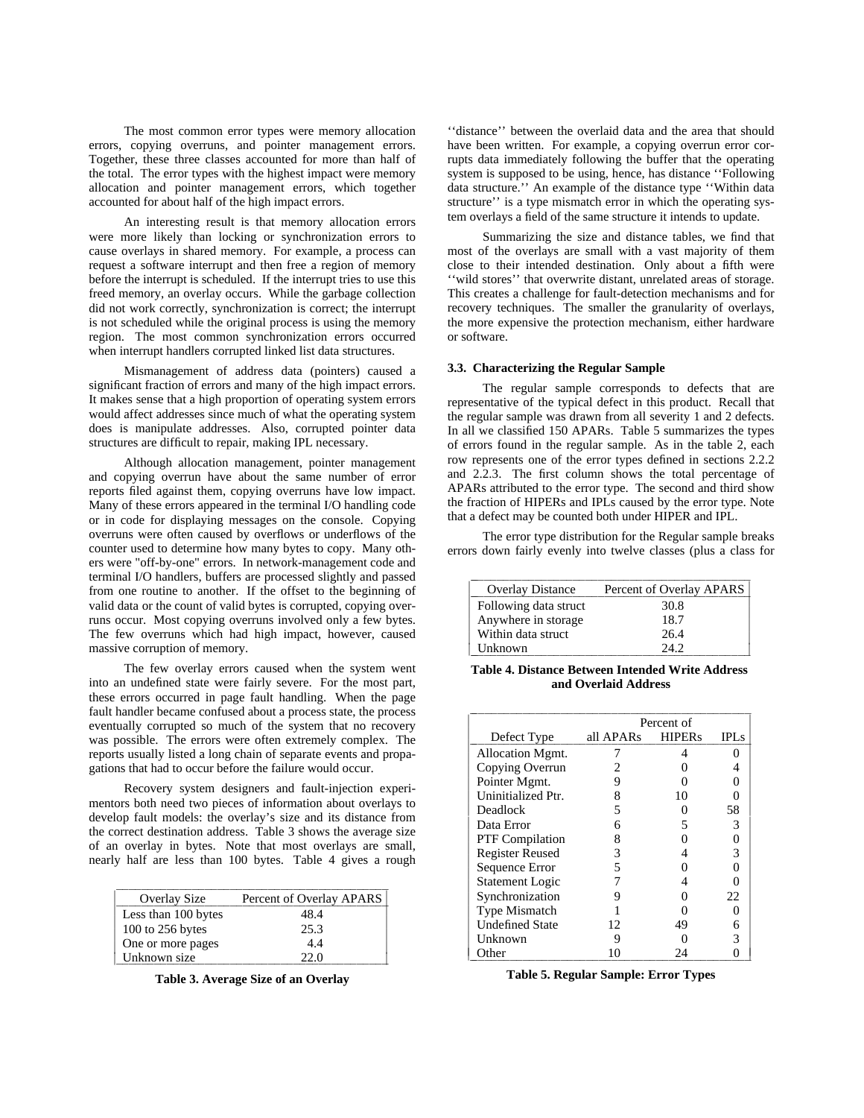The most common error types were memory allocation errors, copying overruns, and pointer management errors. Together, these three classes accounted for more than half of the total. The error types with the highest impact were memory allocation and pointer management errors, which together accounted for about half of the high impact errors.

An interesting result is that memory allocation errors were more likely than locking or synchronization errors to cause overlays in shared memory. For example, a process can request a software interrupt and then free a region of memory before the interrupt is scheduled. If the interrupt tries to use this freed memory, an overlay occurs. While the garbage collection did not work correctly, synchronization is correct; the interrupt is not scheduled while the original process is using the memory region. The most common synchronization errors occurred when interrupt handlers corrupted linked list data structures.

Mismanagement of address data (pointers) caused a significant fraction of errors and many of the high impact errors. It makes sense that a high proportion of operating system errors would affect addresses since much of what the operating system does is manipulate addresses. Also, corrupted pointer data structures are difficult to repair, making IPL necessary.

Although allocation management, pointer management and copying overrun have about the same number of error reports filed against them, copying overruns have low impact. Many of these errors appeared in the terminal I/O handling code or in code for displaying messages on the console. Copying overruns were often caused by overflows or underflows of the counter used to determine how many bytes to copy. Many others were "off-by-one" errors. In network-management code and terminal I/O handlers, buffers are processed slightly and passed from one routine to another. If the offset to the beginning of valid data or the count of valid bytes is corrupted, copying overruns occur. Most copying overruns involved only a few bytes. The few overruns which had high impact, however, caused massive corruption of memory.

The few overlay errors caused when the system went into an undefined state were fairly severe. For the most part, these errors occurred in page fault handling. When the page fault handler became confused about a process state, the process eventually corrupted so much of the system that no recovery was possible. The errors were often extremely complex. The reports usually listed a long chain of separate events and propagations that had to occur before the failure would occur.

Recovery system designers and fault-injection experimentors both need two pieces of information about overlays to develop fault models: the overlay's size and its distance from the correct destination address. Table 3 shows the average size of an overlay in bytes. Note that most overlays are small, nearly half are less than 100 bytes. Table 4 gives a rough

| Overlay Size        | Percent of Overlay APARS |
|---------------------|--------------------------|
| Less than 100 bytes | 48.4                     |
| 100 to 256 bytes    | 25.3                     |
| One or more pages   | 4.4                      |
| Unknown size        | 22.0                     |

**Table 3. Average Size of an Overlay**

''distance'' between the overlaid data and the area that should have been written. For example, a copying overrun error corrupts data immediately following the buffer that the operating system is supposed to be using, hence, has distance ''Following data structure.'' An example of the distance type ''Within data structure'' is a type mismatch error in which the operating system overlays a field of the same structure it intends to update.

Summarizing the size and distance tables, we find that most of the overlays are small with a vast majority of them close to their intended destination. Only about a fifth were ''wild stores'' that overwrite distant, unrelated areas of storage. This creates a challenge for fault-detection mechanisms and for recovery techniques. The smaller the granularity of overlays, the more expensive the protection mechanism, either hardware or software.

#### **3.3. Characterizing the Regular Sample**

The regular sample corresponds to defects that are representative of the typical defect in this product. Recall that the regular sample was drawn from all severity 1 and 2 defects. In all we classified 150 APARs. Table 5 summarizes the types of errors found in the regular sample. As in the table 2, each row represents one of the error types defined in sections 2.2.2 and 2.2.3. The first column shows the total percentage of APARs attributed to the error type. The second and third show the fraction of HIPERs and IPLs caused by the error type. Note that a defect may be counted both under HIPER and IPL.

The error type distribution for the Regular sample breaks errors down fairly evenly into twelve classes (plus a class for

| <b>Overlay Distance</b> | Percent of Overlay APARS |
|-------------------------|--------------------------|
| Following data struct   | 30.8                     |
| Anywhere in storage     | 18.7                     |
| Within data struct      | 26.4                     |
| Unknown                 | 242                      |

**Table 4. Distance Between Intended Write Address and Overlaid Address**

|                        | Percent of |               |             |
|------------------------|------------|---------------|-------------|
| Defect Type            | all APARs  | <b>HIPERs</b> | <b>IPLS</b> |
| Allocation Mgmt.       | 7          | 4             | 0           |
| Copying Overrun        |            |               |             |
| Pointer Mgmt.          | 9          |               |             |
| Uninitialized Ptr.     | 8          | 10            |             |
| Deadlock               | 5          |               | 58          |
| Data Error             | 6          | 5             | 3           |
| <b>PTF</b> Compilation | 8          |               |             |
| <b>Register Reused</b> | 3          |               | 3           |
| Sequence Error         | 5          |               |             |
| <b>Statement Logic</b> |            |               |             |
| Synchronization        |            |               | 22          |
| <b>Type Mismatch</b>   |            |               |             |
| <b>Undefined State</b> | 12         | 49            |             |
| Unknown                | 9          |               |             |
| Other                  | 10         | 9Δ            |             |

**Table 5. Regular Sample: Error Types**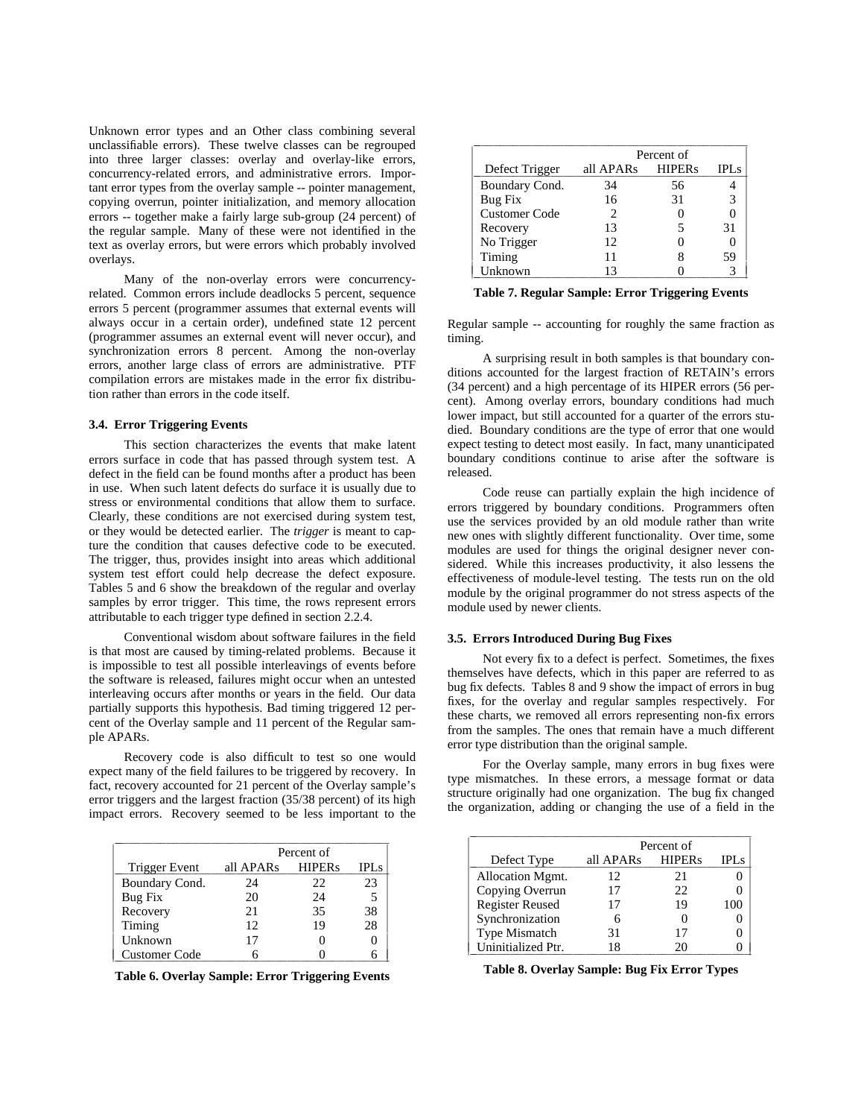Unknown error types and an Other class combining several unclassifiable errors). These twelve classes can be regrouped into three larger classes: overlay and overlay-like errors, concurrency-related errors, and administrative errors. Important error types from the overlay sample -- pointer management, copying overrun, pointer initialization, and memory allocation errors -- together make a fairly large sub-group (24 percent) of the regular sample. Many of these were not identified in the text as overlay errors, but were errors which probably involved overlays.

Many of the non-overlay errors were concurrencyrelated. Common errors include deadlocks 5 percent, sequence errors 5 percent (programmer assumes that external events will always occur in a certain order), undefined state 12 percent (programmer assumes an external event will never occur), and synchronization errors 8 percent. Among the non-overlay errors, another large class of errors are administrative. PTF compilation errors are mistakes made in the error fix distribution rather than errors in the code itself.

#### **3.4. Error Triggering Events**

This section characterizes the events that make latent errors surface in code that has passed through system test. A defect in the field can be found months after a product has been in use. When such latent defects do surface it is usually due to stress or environmental conditions that allow them to surface. Clearly, these conditions are not exercised during system test, or they would be detected earlier. The *trigger* is meant to capture the condition that causes defective code to be executed. The trigger, thus, provides insight into areas which additional system test effort could help decrease the defect exposure. Tables 5 and 6 show the breakdown of the regular and overlay samples by error trigger. This time, the rows represent errors attributable to each trigger type defined in section 2.2.4.

Conventional wisdom about software failures in the field is that most are caused by timing-related problems. Because it is impossible to test all possible interleavings of events before the software is released, failures might occur when an untested interleaving occurs after months or years in the field. Our data partially supports this hypothesis. Bad timing triggered 12 percent of the Overlay sample and 11 percent of the Regular sample APARs.

Recovery code is also difficult to test so one would expect many of the field failures to be triggered by recovery. In fact, recovery accounted for 21 percent of the Overlay sample's error triggers and the largest fraction (35/38 percent) of its high impact errors. Recovery seemed to be less important to the

|                | Percent of |               |             |
|----------------|------------|---------------|-------------|
| Trigger Event  | all APARs  | <b>HIPERs</b> | <b>IPLs</b> |
| Boundary Cond. | 24         | 22            | 23          |
| Bug Fix        | 20         | 24            | 5           |
| Recovery       | 21         | 35            | 38          |
| Timing         | 12         | 19            | 28          |
| Unknown        | 17         |               |             |
| Customer Code  |            |               |             |

**Table 6. Overlay Sample: Error Triggering Events**

|                      | Percent of |               |             |
|----------------------|------------|---------------|-------------|
| Defect Trigger       | all APARs  | <b>HIPERs</b> | <b>IPLs</b> |
| Boundary Cond.       | 34         | 56            |             |
| Bug Fix              | 16         | 31            | 3           |
| <b>Customer Code</b> | 2          |               |             |
| Recovery             | 13         | 5             | 31          |
| No Trigger           | 12         |               |             |
| Timing               | 11         |               | 59          |
| Unknown              | 13         |               |             |

**Table 7. Regular Sample: Error Triggering Events**

Regular sample -- accounting for roughly the same fraction as timing.

A surprising result in both samples is that boundary conditions accounted for the largest fraction of RETAIN's errors (34 percent) and a high percentage of its HIPER errors (56 percent). Among overlay errors, boundary conditions had much lower impact, but still accounted for a quarter of the errors studied. Boundary conditions are the type of error that one would expect testing to detect most easily. In fact, many unanticipated boundary conditions continue to arise after the software is released.

Code reuse can partially explain the high incidence of errors triggered by boundary conditions. Programmers often use the services provided by an old module rather than write new ones with slightly different functionality. Over time, some modules are used for things the original designer never considered. While this increases productivity, it also lessens the effectiveness of module-level testing. The tests run on the old module by the original programmer do not stress aspects of the module used by newer clients.

# **3.5. Errors Introduced During Bug Fixes**

Not every fix to a defect is perfect. Sometimes, the fixes themselves have defects, which in this paper are referred to as bug fix defects. Tables 8 and 9 show the impact of errors in bug fixes, for the overlay and regular samples respectively. For these charts, we removed all errors representing non-fix errors from the samples. The ones that remain have a much different error type distribution than the original sample.

For the Overlay sample, many errors in bug fixes were type mismatches. In these errors, a message format or data structure originally had one organization. The bug fix changed the organization, adding or changing the use of a field in the

|                        | Percent of |               |             |
|------------------------|------------|---------------|-------------|
| Defect Type            | all APARs  | <b>HIPERs</b> | <b>IPLs</b> |
| Allocation Mgmt.       | 12.        | 21            |             |
| Copying Overrun        | 17         | 22            |             |
| <b>Register Reused</b> | 17         | 19            | 100         |
| Synchronization        |            |               |             |
| <b>Type Mismatch</b>   | 31         | 17            |             |
| Uninitialized Ptr.     | 18         | 20            |             |

**Table 8. Overlay Sample: Bug Fix Error Types**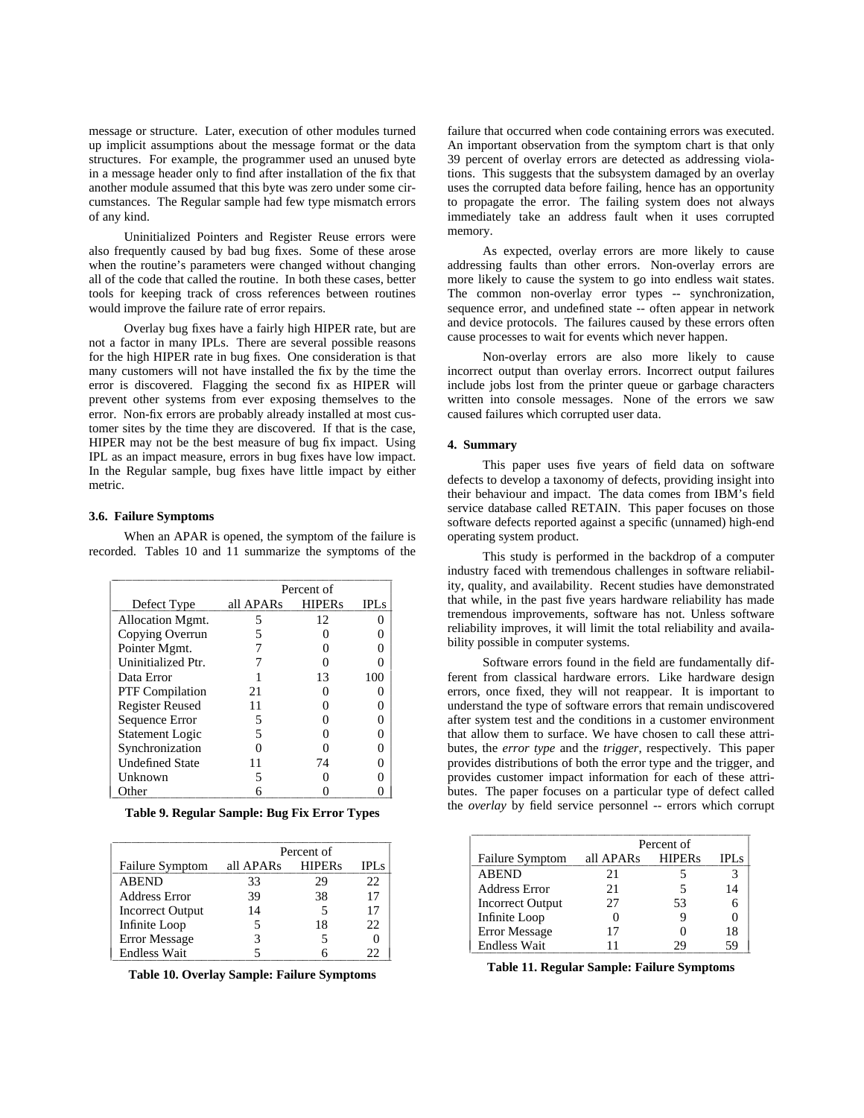message or structure. Later, execution of other modules turned up implicit assumptions about the message format or the data structures. For example, the programmer used an unused byte in a message header only to find after installation of the fix that another module assumed that this byte was zero under some circumstances. The Regular sample had few type mismatch errors of any kind.

Uninitialized Pointers and Register Reuse errors were also frequently caused by bad bug fixes. Some of these arose when the routine's parameters were changed without changing all of the code that called the routine. In both these cases, better tools for keeping track of cross references between routines would improve the failure rate of error repairs.

Overlay bug fixes have a fairly high HIPER rate, but are not a factor in many IPLs. There are several possible reasons for the high HIPER rate in bug fixes. One consideration is that many customers will not have installed the fix by the time the error is discovered. Flagging the second fix as HIPER will prevent other systems from ever exposing themselves to the error. Non-fix errors are probably already installed at most customer sites by the time they are discovered. If that is the case, HIPER may not be the best measure of bug fix impact. Using IPL as an impact measure, errors in bug fixes have low impact. In the Regular sample, bug fixes have little impact by either metric.

#### **3.6. Failure Symptoms**

When an APAR is opened, the symptom of the failure is recorded. Tables 10 and 11 summarize the symptoms of the

|                        |           | Percent of    |             |
|------------------------|-----------|---------------|-------------|
| Defect Type            | all APARs | <b>HIPERs</b> | <b>IPLS</b> |
| Allocation Mgmt.       | 5         | 12            |             |
| Copying Overrun        | 5         |               |             |
| Pointer Mgmt.          |           |               |             |
| Uninitialized Ptr.     |           |               |             |
| Data Error             |           | 13            | 100         |
| <b>PTF</b> Compilation | 21        |               |             |
| <b>Register Reused</b> | 11        |               |             |
| Sequence Error         | 5         |               |             |
| <b>Statement Logic</b> |           |               |             |
| Synchronization        |           |               |             |
| <b>Undefined State</b> | 11        | 74            |             |
| Unknown                |           |               |             |
| Other                  |           |               |             |

**Table 9. Regular Sample: Bug Fix Error Types**

|                         | Percent of |               |             |
|-------------------------|------------|---------------|-------------|
| <b>Failure Symptom</b>  | all APARs  | <b>HIPERs</b> | <b>IPLs</b> |
| <b>ABEND</b>            | 33         | 29            | 22          |
| <b>Address Error</b>    | 39         | 38            | 17          |
| <b>Incorrect Output</b> | 14         | 5             | 17          |
| Infinite Loop           |            | 18            | 22          |
| <b>Error Message</b>    |            |               |             |
| <b>Endless Wait</b>     |            |               | 22          |

**Table 10. Overlay Sample: Failure Symptoms**

failure that occurred when code containing errors was executed. An important observation from the symptom chart is that only 39 percent of overlay errors are detected as addressing violations. This suggests that the subsystem damaged by an overlay uses the corrupted data before failing, hence has an opportunity to propagate the error. The failing system does not always immediately take an address fault when it uses corrupted memory.

As expected, overlay errors are more likely to cause addressing faults than other errors. Non-overlay errors are more likely to cause the system to go into endless wait states. The common non-overlay error types -- synchronization, sequence error, and undefined state -- often appear in network and device protocols. The failures caused by these errors often cause processes to wait for events which never happen.

Non-overlay errors are also more likely to cause incorrect output than overlay errors. Incorrect output failures include jobs lost from the printer queue or garbage characters written into console messages. None of the errors we saw caused failures which corrupted user data.

### **4. Summary**

This paper uses five years of field data on software defects to develop a taxonomy of defects, providing insight into their behaviour and impact. The data comes from IBM's field service database called RETAIN. This paper focuses on those software defects reported against a specific (unnamed) high-end operating system product.

This study is performed in the backdrop of a computer industry faced with tremendous challenges in software reliability, quality, and availability. Recent studies have demonstrated that while, in the past five years hardware reliability has made tremendous improvements, software has not. Unless software reliability improves, it will limit the total reliability and availability possible in computer systems.

Software errors found in the field are fundamentally different from classical hardware errors. Like hardware design errors, once fixed, they will not reappear. It is important to understand the type of software errors that remain undiscovered after system test and the conditions in a customer environment that allow them to surface. We have chosen to call these attributes, the *error type* and the *trigger*, respectively. This paper provides distributions of both the error type and the trigger, and provides customer impact information for each of these attributes. The paper focuses on a particular type of defect called the *overlay* by field service personnel -- errors which corrupt

|                         | Percent of |               |             |
|-------------------------|------------|---------------|-------------|
| <b>Failure Symptom</b>  | all APARs  | <b>HIPERs</b> | <b>IPLs</b> |
| <b>ABEND</b>            | 21         |               | 3           |
| <b>Address Error</b>    | 21         |               | 14          |
| <b>Incorrect Output</b> | 27         | 53            |             |
| Infinite Loop           |            |               |             |
| <b>Error Message</b>    | 17         |               | 18          |
| <b>Endless Wait</b>     |            |               | 59          |

**Table 11. Regular Sample: Failure Symptoms**